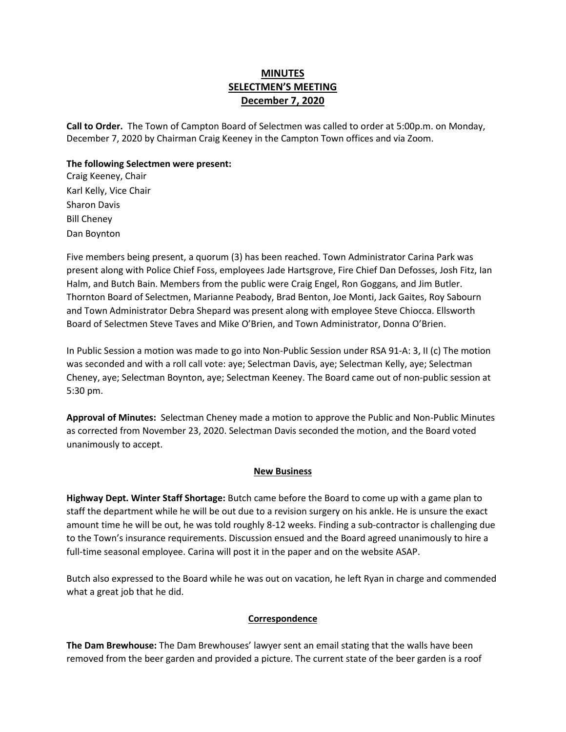# **MINUTES SELECTMEN'S MEETING December 7, 2020**

**Call to Order.** The Town of Campton Board of Selectmen was called to order at 5:00p.m. on Monday, December 7, 2020 by Chairman Craig Keeney in the Campton Town offices and via Zoom.

#### **The following Selectmen were present:**

Craig Keeney, Chair Karl Kelly, Vice Chair Sharon Davis Bill Cheney Dan Boynton

Five members being present, a quorum (3) has been reached. Town Administrator Carina Park was present along with Police Chief Foss, employees Jade Hartsgrove, Fire Chief Dan Defosses, Josh Fitz, Ian Halm, and Butch Bain. Members from the public were Craig Engel, Ron Goggans, and Jim Butler. Thornton Board of Selectmen, Marianne Peabody, Brad Benton, Joe Monti, Jack Gaites, Roy Sabourn and Town Administrator Debra Shepard was present along with employee Steve Chiocca. Ellsworth Board of Selectmen Steve Taves and Mike O'Brien, and Town Administrator, Donna O'Brien.

In Public Session a motion was made to go into Non-Public Session under RSA 91-A: 3, II (c) The motion was seconded and with a roll call vote: aye; Selectman Davis, aye; Selectman Kelly, aye; Selectman Cheney, aye; Selectman Boynton, aye; Selectman Keeney. The Board came out of non-public session at 5:30 pm.

**Approval of Minutes:** Selectman Cheney made a motion to approve the Public and Non-Public Minutes as corrected from November 23, 2020. Selectman Davis seconded the motion, and the Board voted unanimously to accept.

### **New Business**

**Highway Dept. Winter Staff Shortage:** Butch came before the Board to come up with a game plan to staff the department while he will be out due to a revision surgery on his ankle. He is unsure the exact amount time he will be out, he was told roughly 8-12 weeks. Finding a sub-contractor is challenging due to the Town's insurance requirements. Discussion ensued and the Board agreed unanimously to hire a full-time seasonal employee. Carina will post it in the paper and on the website ASAP.

Butch also expressed to the Board while he was out on vacation, he left Ryan in charge and commended what a great job that he did.

### **Correspondence**

**The Dam Brewhouse:** The Dam Brewhouses' lawyer sent an email stating that the walls have been removed from the beer garden and provided a picture. The current state of the beer garden is a roof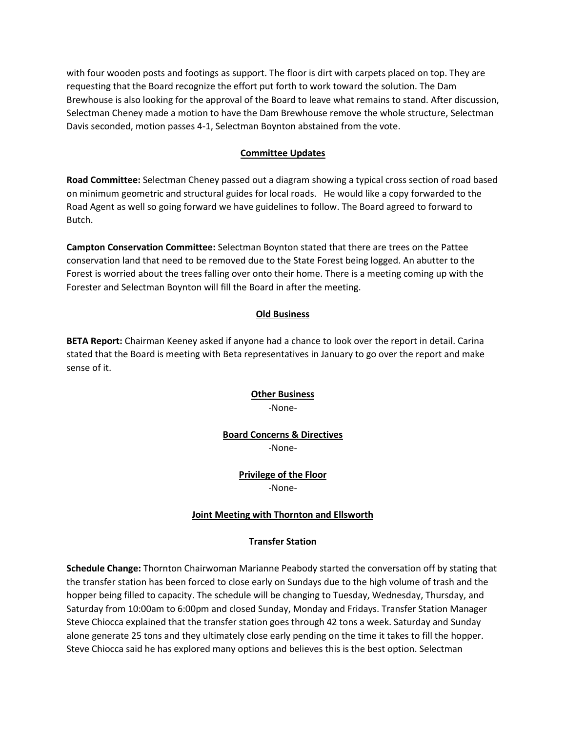with four wooden posts and footings as support. The floor is dirt with carpets placed on top. They are requesting that the Board recognize the effort put forth to work toward the solution. The Dam Brewhouse is also looking for the approval of the Board to leave what remains to stand. After discussion, Selectman Cheney made a motion to have the Dam Brewhouse remove the whole structure, Selectman Davis seconded, motion passes 4-1, Selectman Boynton abstained from the vote.

## **Committee Updates**

**Road Committee:** Selectman Cheney passed out a diagram showing a typical cross section of road based on minimum geometric and structural guides for local roads. He would like a copy forwarded to the Road Agent as well so going forward we have guidelines to follow. The Board agreed to forward to Butch.

**Campton Conservation Committee:** Selectman Boynton stated that there are trees on the Pattee conservation land that need to be removed due to the State Forest being logged. An abutter to the Forest is worried about the trees falling over onto their home. There is a meeting coming up with the Forester and Selectman Boynton will fill the Board in after the meeting.

## **Old Business**

**BETA Report:** Chairman Keeney asked if anyone had a chance to look over the report in detail. Carina stated that the Board is meeting with Beta representatives in January to go over the report and make sense of it.

# **Other Business** -None-

### **Board Concerns & Directives** -None-

## **Privilege of the Floor** -None-

# **Joint Meeting with Thornton and Ellsworth**

### **Transfer Station**

**Schedule Change:** Thornton Chairwoman Marianne Peabody started the conversation off by stating that the transfer station has been forced to close early on Sundays due to the high volume of trash and the hopper being filled to capacity. The schedule will be changing to Tuesday, Wednesday, Thursday, and Saturday from 10:00am to 6:00pm and closed Sunday, Monday and Fridays. Transfer Station Manager Steve Chiocca explained that the transfer station goes through 42 tons a week. Saturday and Sunday alone generate 25 tons and they ultimately close early pending on the time it takes to fill the hopper. Steve Chiocca said he has explored many options and believes this is the best option. Selectman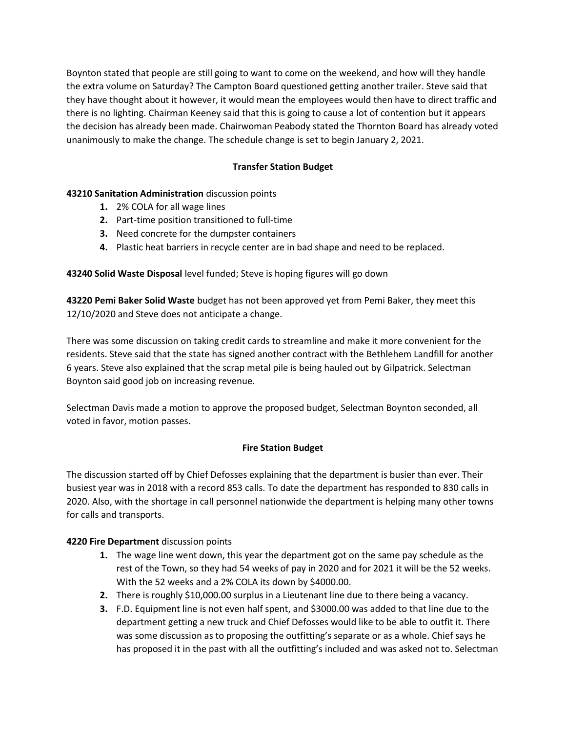Boynton stated that people are still going to want to come on the weekend, and how will they handle the extra volume on Saturday? The Campton Board questioned getting another trailer. Steve said that they have thought about it however, it would mean the employees would then have to direct traffic and there is no lighting. Chairman Keeney said that this is going to cause a lot of contention but it appears the decision has already been made. Chairwoman Peabody stated the Thornton Board has already voted unanimously to make the change. The schedule change is set to begin January 2, 2021.

# **Transfer Station Budget**

# **43210 Sanitation Administration** discussion points

- **1.** 2% COLA for all wage lines
- **2.** Part-time position transitioned to full-time
- **3.** Need concrete for the dumpster containers
- **4.** Plastic heat barriers in recycle center are in bad shape and need to be replaced.

**43240 Solid Waste Disposal** level funded; Steve is hoping figures will go down

**43220 Pemi Baker Solid Waste** budget has not been approved yet from Pemi Baker, they meet this 12/10/2020 and Steve does not anticipate a change.

There was some discussion on taking credit cards to streamline and make it more convenient for the residents. Steve said that the state has signed another contract with the Bethlehem Landfill for another 6 years. Steve also explained that the scrap metal pile is being hauled out by Gilpatrick. Selectman Boynton said good job on increasing revenue.

Selectman Davis made a motion to approve the proposed budget, Selectman Boynton seconded, all voted in favor, motion passes.

# **Fire Station Budget**

The discussion started off by Chief Defosses explaining that the department is busier than ever. Their busiest year was in 2018 with a record 853 calls. To date the department has responded to 830 calls in 2020. Also, with the shortage in call personnel nationwide the department is helping many other towns for calls and transports.

# **4220 Fire Department** discussion points

- **1.** The wage line went down, this year the department got on the same pay schedule as the rest of the Town, so they had 54 weeks of pay in 2020 and for 2021 it will be the 52 weeks. With the 52 weeks and a 2% COLA its down by \$4000.00.
- **2.** There is roughly \$10,000.00 surplus in a Lieutenant line due to there being a vacancy.
- **3.** F.D. Equipment line is not even half spent, and \$3000.00 was added to that line due to the department getting a new truck and Chief Defosses would like to be able to outfit it. There was some discussion as to proposing the outfitting's separate or as a whole. Chief says he has proposed it in the past with all the outfitting's included and was asked not to. Selectman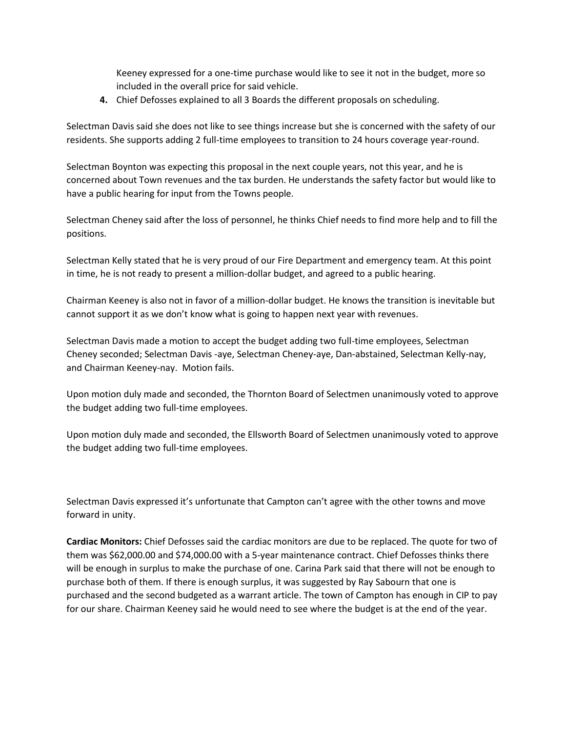Keeney expressed for a one-time purchase would like to see it not in the budget, more so included in the overall price for said vehicle.

**4.** Chief Defosses explained to all 3 Boards the different proposals on scheduling.

Selectman Davis said she does not like to see things increase but she is concerned with the safety of our residents. She supports adding 2 full-time employees to transition to 24 hours coverage year-round.

Selectman Boynton was expecting this proposal in the next couple years, not this year, and he is concerned about Town revenues and the tax burden. He understands the safety factor but would like to have a public hearing for input from the Towns people.

Selectman Cheney said after the loss of personnel, he thinks Chief needs to find more help and to fill the positions.

Selectman Kelly stated that he is very proud of our Fire Department and emergency team. At this point in time, he is not ready to present a million-dollar budget, and agreed to a public hearing.

Chairman Keeney is also not in favor of a million-dollar budget. He knows the transition is inevitable but cannot support it as we don't know what is going to happen next year with revenues.

Selectman Davis made a motion to accept the budget adding two full-time employees, Selectman Cheney seconded; Selectman Davis -aye, Selectman Cheney-aye, Dan-abstained, Selectman Kelly-nay, and Chairman Keeney-nay. Motion fails.

Upon motion duly made and seconded, the Thornton Board of Selectmen unanimously voted to approve the budget adding two full-time employees.

Upon motion duly made and seconded, the Ellsworth Board of Selectmen unanimously voted to approve the budget adding two full-time employees.

Selectman Davis expressed it's unfortunate that Campton can't agree with the other towns and move forward in unity.

**Cardiac Monitors:** Chief Defosses said the cardiac monitors are due to be replaced. The quote for two of them was \$62,000.00 and \$74,000.00 with a 5-year maintenance contract. Chief Defosses thinks there will be enough in surplus to make the purchase of one. Carina Park said that there will not be enough to purchase both of them. If there is enough surplus, it was suggested by Ray Sabourn that one is purchased and the second budgeted as a warrant article. The town of Campton has enough in CIP to pay for our share. Chairman Keeney said he would need to see where the budget is at the end of the year.